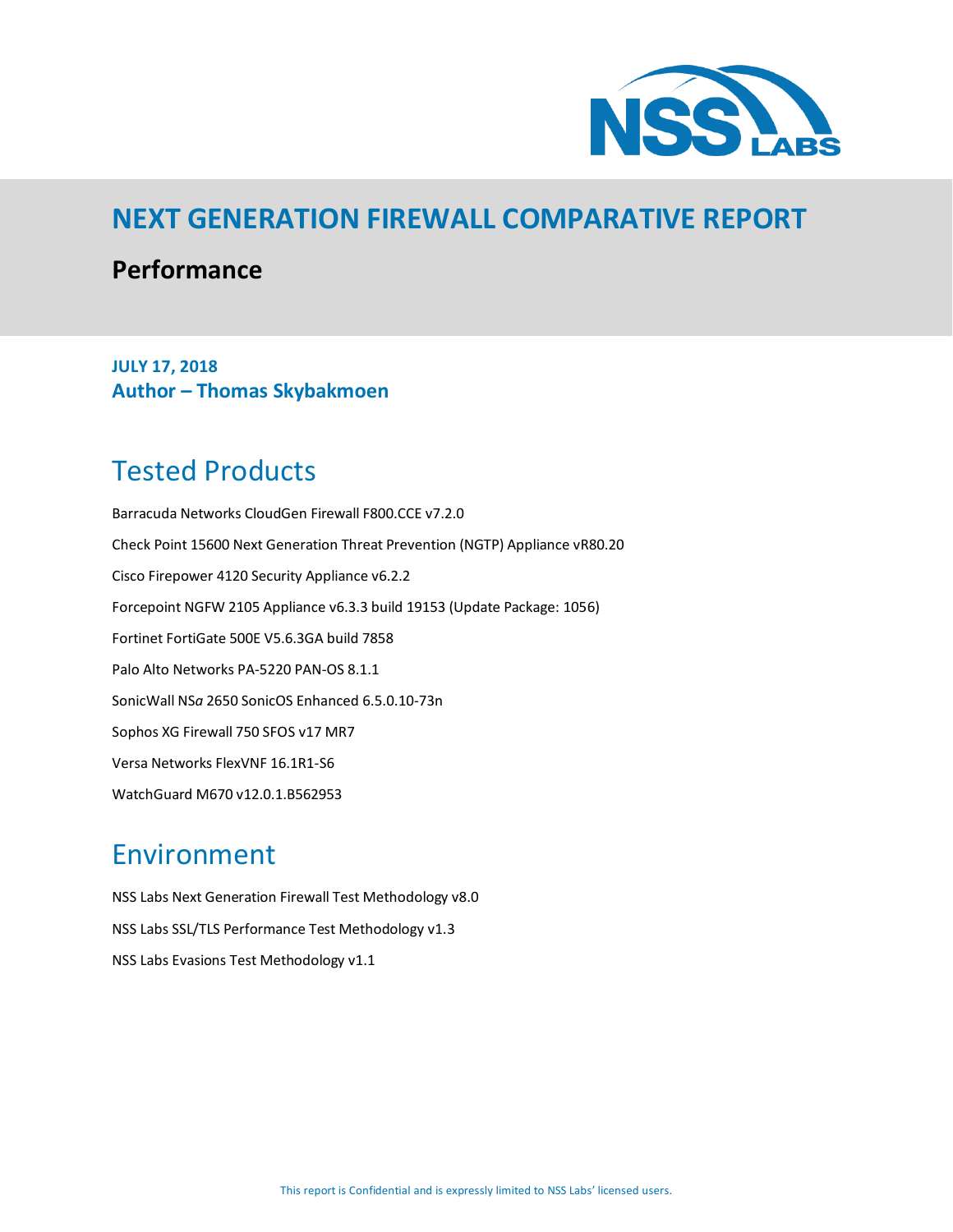

## **NEXT GENERATION FIREWALL COMPARATIVE REPORT**

### **Performance**

**JULY 17, 2018 Author – Thomas Skybakmoen** 

# <span id="page-0-0"></span>Tested Products

Barracuda Networks CloudGen Firewall F800.CCE v7.2.0 Check Point 15600 Next Generation Threat Prevention (NGTP) Appliance vR80.20 Cisco Firepower 4120 Security Appliance v6.2.2 Forcepoint NGFW 2105 Appliance v6.3.3 build 19153 (Update Package: 1056) Fortinet FortiGate 500E V5.6.3GA build 7858 Palo Alto Networks PA-5220 PAN-OS 8.1.1 SonicWall NS*a* 2650 SonicOS Enhanced 6.5.0.10-73n Sophos XG Firewall 750 SFOS v17 MR7 Versa Networks FlexVNF 16.1R1-S6 WatchGuard M670 v12.0.1.B562953

## <span id="page-0-1"></span>Environment

NSS Labs Next Generation Firewall Test Methodology v8.0 NSS Labs SSL/TLS Performance Test Methodology v1.3 NSS Labs Evasions Test Methodology v1.1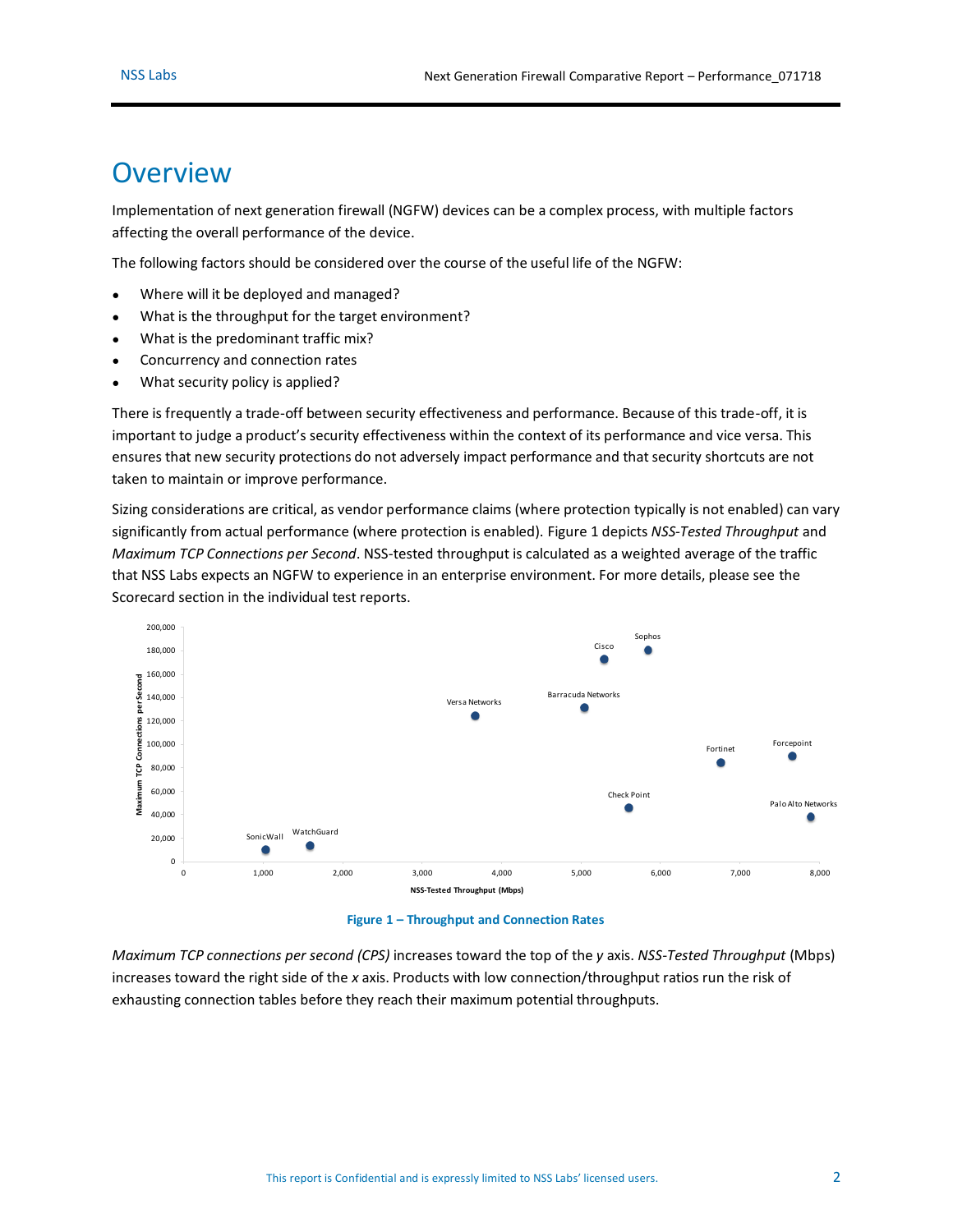## <span id="page-1-1"></span>**Overview**

Implementation of next generation firewall (NGFW) devices can be a complex process, with multiple factors affecting the overall performance of the device.

The following factors should be considered over the course of the useful life of the NGFW:

- Where will it be deployed and managed?
- What is the throughput for the target environment?
- What is the predominant traffic mix?
- Concurrency and connection rates
- What security policy is applied?

There is frequently a trade-off between security effectiveness and performance. Because of this trade-off, it is important to judge a product's security effectiveness within the context of its performance and vice versa. This ensures that new security protections do not adversely impact performance and that security shortcuts are not taken to maintain or improve performance.

Sizing considerations are critical, as vendor performance claims (where protection typically is not enabled) can vary significantly from actual performance (where protection is enabled). [Figure 1](#page-1-0) depicts *NSS-Tested Throughput* and *Maximum TCP Connections per Second*. NSS-tested throughput is calculated as a weighted average of the traffic that NSS Labs expects an NGFW to experience in an enterprise environment. For more details, please see the Scorecard section in the individual test reports.



**Figure 1 – Throughput and Connection Rates**

<span id="page-1-0"></span>*Maximum TCP connections per second (CPS)* increases toward the top of the *y* axis. *NSS-Tested Throughput* (Mbps) increases toward the right side of the *x* axis. Products with low connection/throughput ratios run the risk of exhausting connection tables before they reach their maximum potential throughputs.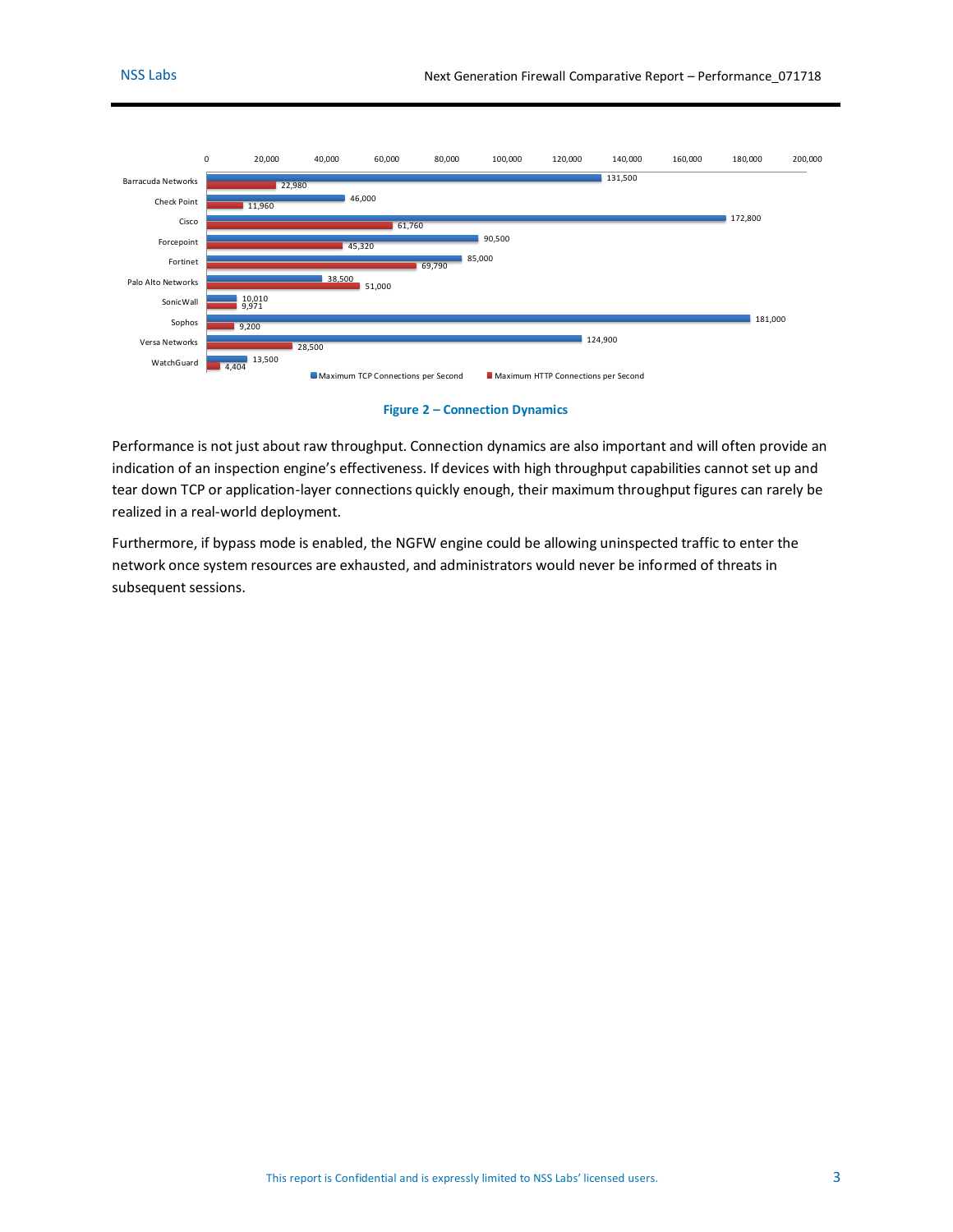

#### **Figure 2 – Connection Dynamics**

<span id="page-2-0"></span>Performance is not just about raw throughput. Connection dynamics are also important and will often provide an indication of an inspection engine's effectiveness. If devices with high throughput capabilities cannot set up and tear down TCP or application-layer connections quickly enough, their maximum throughput figures can rarely be realized in a real-world deployment.

Furthermore, if bypass mode is enabled, the NGFW engine could be allowing uninspected traffic to enter the network once system resources are exhausted, and administrators would never be informed of threats in subsequent sessions.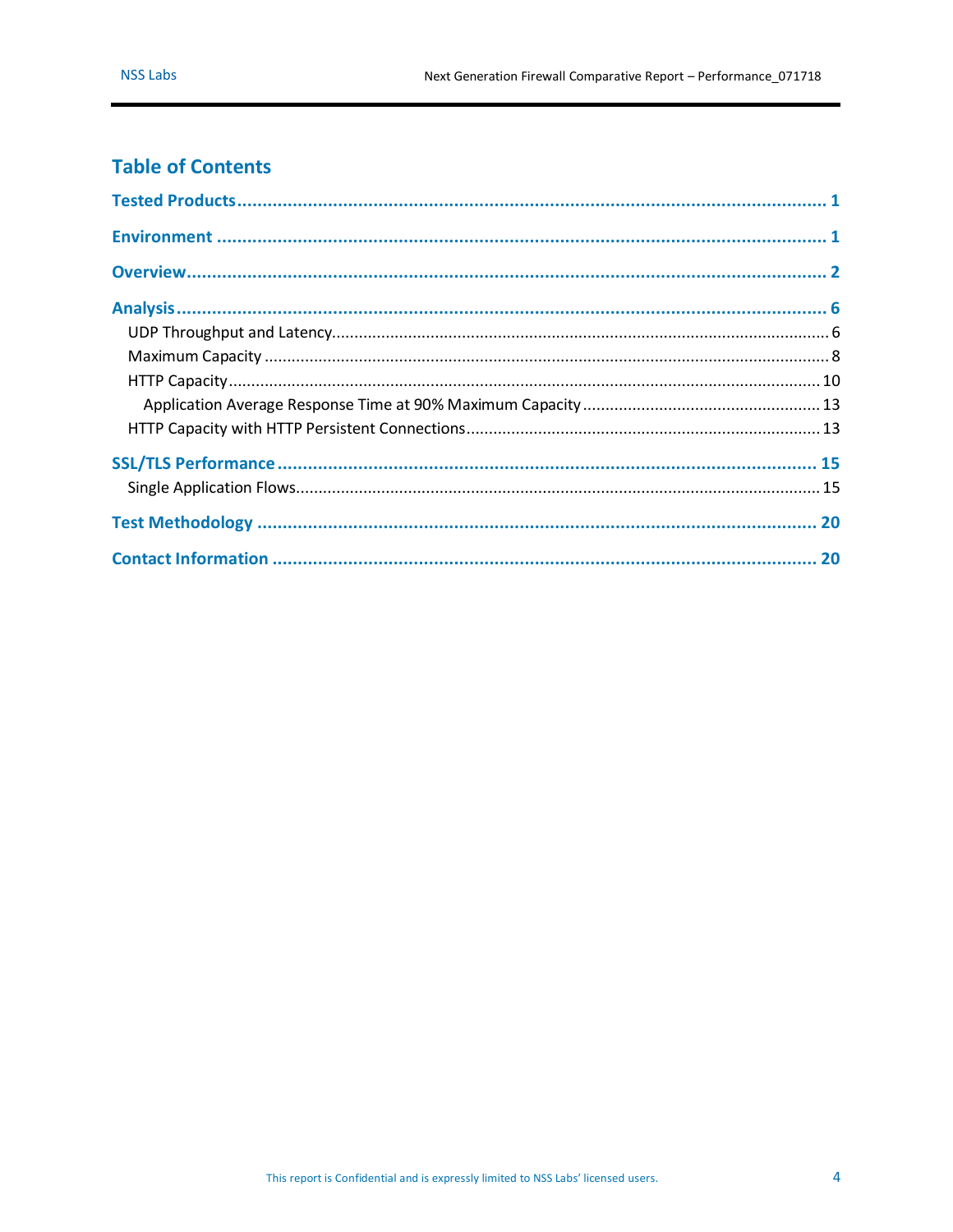### **Table of Contents**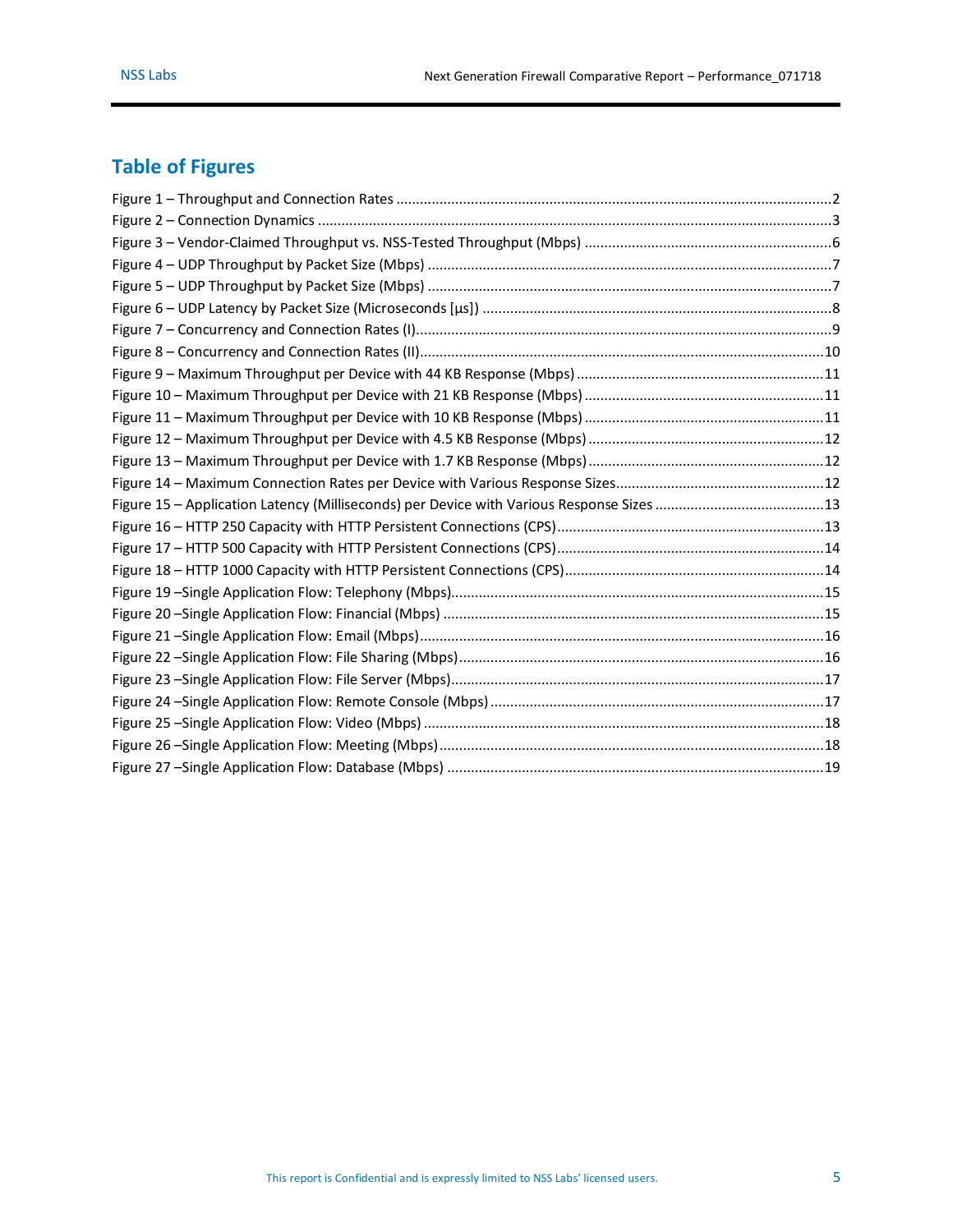## **Table of Figures**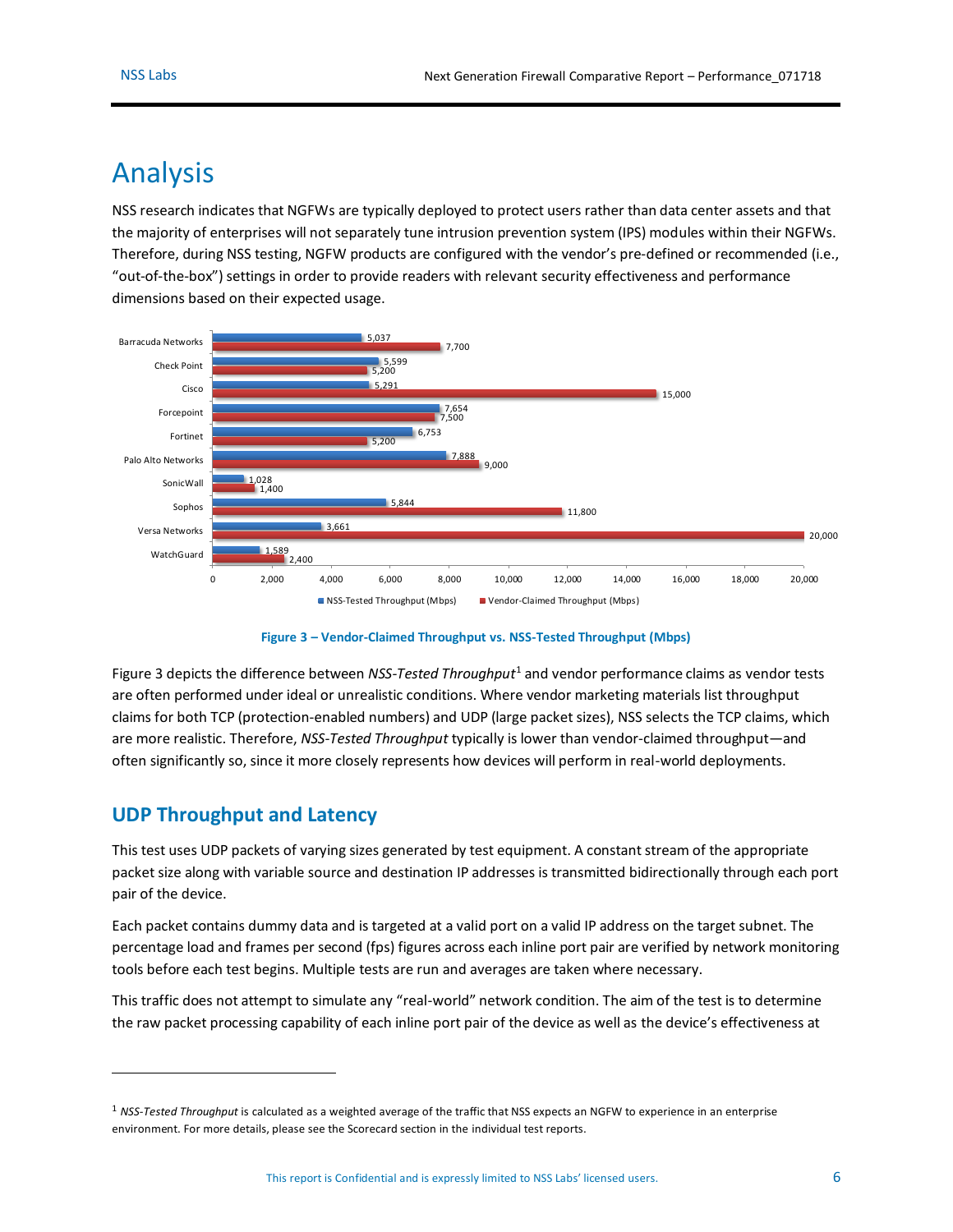## <span id="page-5-0"></span>Analysis

NSS research indicates that NGFWs are typically deployed to protect users rather than data center assets and that the majority of enterprises will not separately tune intrusion prevention system (IPS) modules within their NGFWs. Therefore, during NSS testing, NGFW products are configured with the vendor's pre-defined or recommended (i.e., "out-of-the-box") settings in order to provide readers with relevant security effectiveness and performance dimensions based on their expected usage.



**Figure 3 – Vendor-Claimed Throughput vs. NSS-Tested Throughput (Mbps)**

<span id="page-5-2"></span>[Figure 3](#page-5-2) depicts the difference between NSS-Tested Throughput<sup>1</sup> and vendor performance claims as vendor tests are often performed under ideal or unrealistic conditions. Where vendor marketing materials list throughput claims for both TCP (protection-enabled numbers) and UDP (large packet sizes), NSS selects the TCP claims, which are more realistic. Therefore, *NSS-Tested Throughput* typically is lower than vendor-claimed throughput—and often significantly so, since it more closely represents how devices will perform in real-world deployments.

### <span id="page-5-1"></span>**UDP Throughput and Latency**

 $\overline{a}$ 

This test uses UDP packets of varying sizes generated by test equipment. A constant stream of the appropriate packet size along with variable source and destination IP addresses is transmitted bidirectionally through each port pair of the device.

Each packet contains dummy data and is targeted at a valid port on a valid IP address on the target subnet. The percentage load and frames per second (fps) figures across each inline port pair are verified by network monitoring tools before each test begins. Multiple tests are run and averages are taken where necessary.

This traffic does not attempt to simulate any "real-world" network condition. The aim of the test is to determine the raw packet processing capability of each inline port pair of the device as well as the device's effectiveness at

<sup>1</sup> *NSS-Tested Throughput* is calculated as a weighted average of the traffic that NSS expects an NGFW to experience in an enterprise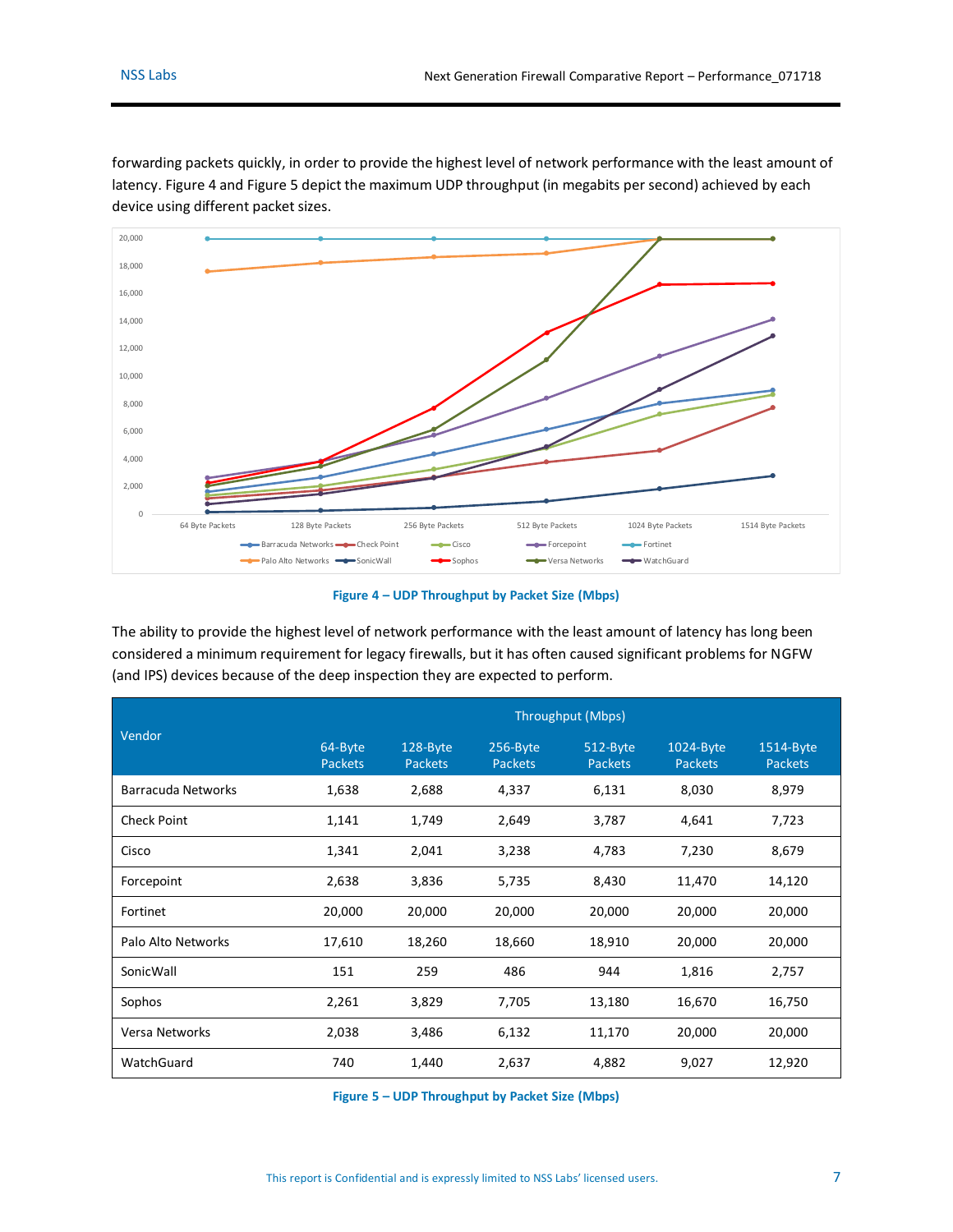

forwarding packets quickly, in order to provide the highest level of network performance with the least amount of latency. [Figure 4](#page-6-0) an[d Figure 5](#page-6-1) depict the maximum UDP throughput (in megabits per second) achieved by each device using different packet sizes.

#### **Figure 4 – UDP Throughput by Packet Size (Mbps)**

<span id="page-6-0"></span>The ability to provide the highest level of network performance with the least amount of latency has long been considered a minimum requirement for legacy firewalls, but it has often caused significant problems for NGFW (and IPS) devices because of the deep inspection they are expected to perform.

|                           | Throughput (Mbps)         |                            |                            |                            |                             |                             |  |
|---------------------------|---------------------------|----------------------------|----------------------------|----------------------------|-----------------------------|-----------------------------|--|
| Vendor                    | 64-Byte<br><b>Packets</b> | 128-Byte<br><b>Packets</b> | 256-Byte<br><b>Packets</b> | 512-Byte<br><b>Packets</b> | 1024-Byte<br><b>Packets</b> | 1514-Byte<br><b>Packets</b> |  |
| <b>Barracuda Networks</b> | 1,638                     | 2,688                      | 4,337                      | 6,131                      | 8,030                       | 8,979                       |  |
| <b>Check Point</b>        | 1,141                     | 1,749                      | 2,649                      | 3,787                      | 4,641                       | 7,723                       |  |
| Cisco                     | 1,341                     | 2,041                      | 3,238                      | 4,783                      | 7,230                       | 8,679                       |  |
| Forcepoint                | 2,638                     | 3,836                      | 5,735                      | 8,430                      | 11,470                      | 14,120                      |  |
| Fortinet                  | 20,000                    | 20,000                     | 20,000                     | 20,000                     | 20,000                      | 20,000                      |  |
| Palo Alto Networks        | 17,610                    | 18,260                     | 18,660                     | 18,910                     | 20,000                      | 20,000                      |  |
| SonicWall                 | 151                       | 259                        | 486                        | 944                        | 1,816                       | 2,757                       |  |
| Sophos                    | 2,261                     | 3,829                      | 7,705                      | 13,180                     | 16,670                      | 16,750                      |  |
| <b>Versa Networks</b>     | 2,038                     | 3,486                      | 6,132                      | 11,170                     | 20,000                      | 20,000                      |  |
| WatchGuard                | 740                       | 1,440                      | 2,637                      | 4,882                      | 9,027                       | 12,920                      |  |

<span id="page-6-1"></span>**Figure 5 – UDP Throughput by Packet Size (Mbps)**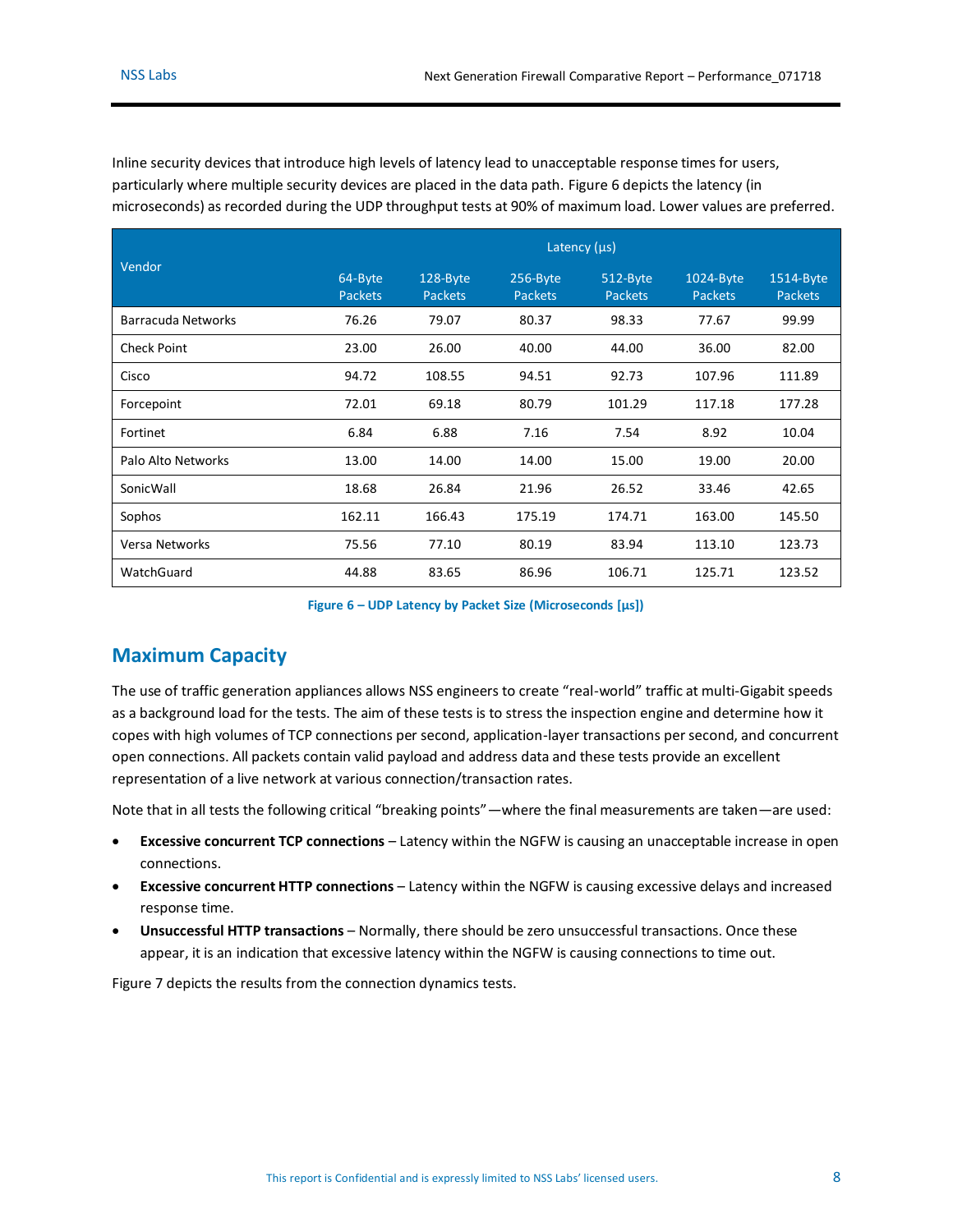Inline security devices that introduce high levels of latency lead to unacceptable response times for users, particularly where multiple security devices are placed in the data path. [Figure 6](#page-7-1) depicts the latency (in microseconds) as recorded during the UDP throughput tests at 90% of maximum load. Lower values are preferred.

|                    | Latency $(\mu s)$         |                            |                            |                            |                             |                             |  |
|--------------------|---------------------------|----------------------------|----------------------------|----------------------------|-----------------------------|-----------------------------|--|
| Vendor             | 64-Byte<br><b>Packets</b> | 128-Byte<br><b>Packets</b> | 256-Byte<br><b>Packets</b> | 512-Byte<br><b>Packets</b> | 1024-Byte<br><b>Packets</b> | 1514-Byte<br><b>Packets</b> |  |
| Barracuda Networks | 76.26                     | 79.07                      | 80.37                      | 98.33                      | 77.67                       | 99.99                       |  |
| <b>Check Point</b> | 23.00                     | 26.00                      | 40.00                      | 44.00                      | 36.00                       | 82.00                       |  |
| Cisco              | 94.72                     | 108.55                     | 94.51                      | 92.73                      | 107.96                      | 111.89                      |  |
| Forcepoint         | 72.01                     | 69.18                      | 80.79                      | 101.29                     | 117.18                      | 177.28                      |  |
| Fortinet           | 6.84                      | 6.88                       | 7.16                       | 7.54                       | 8.92                        | 10.04                       |  |
| Palo Alto Networks | 13.00                     | 14.00                      | 14.00                      | 15.00                      | 19.00                       | 20.00                       |  |
| SonicWall          | 18.68                     | 26.84                      | 21.96                      | 26.52                      | 33.46                       | 42.65                       |  |
| Sophos             | 162.11                    | 166.43                     | 175.19                     | 174.71                     | 163.00                      | 145.50                      |  |
| Versa Networks     | 75.56                     | 77.10                      | 80.19                      | 83.94                      | 113.10                      | 123.73                      |  |
| WatchGuard         | 44.88                     | 83.65                      | 86.96                      | 106.71                     | 125.71                      | 123.52                      |  |

**Figure 6 – UDP Latency by Packet Size (Microseconds [μs])**

### <span id="page-7-1"></span><span id="page-7-0"></span>**Maximum Capacity**

The use of traffic generation appliances allows NSS engineers to create "real-world" traffic at multi-Gigabit speeds as a background load for the tests. The aim of these tests is to stress the inspection engine and determine how it copes with high volumes of TCP connections per second, application-layer transactions per second, and concurrent open connections. All packets contain valid payload and address data and these tests provide an excellent representation of a live network at various connection/transaction rates.

Note that in all tests the following critical "breaking points"—where the final measurements are taken—are used:

- **Excessive concurrent TCP connections** Latency within the NGFW is causing an unacceptable increase in open connections.
- **Excessive concurrent HTTP connections** Latency within the NGFW is causing excessive delays and increased response time.
- **Unsuccessful HTTP transactions** Normally, there should be zero unsuccessful transactions. Once these appear, it is an indication that excessive latency within the NGFW is causing connections to time out.

[Figure 7](#page-8-0) depicts the results from the connection dynamics tests.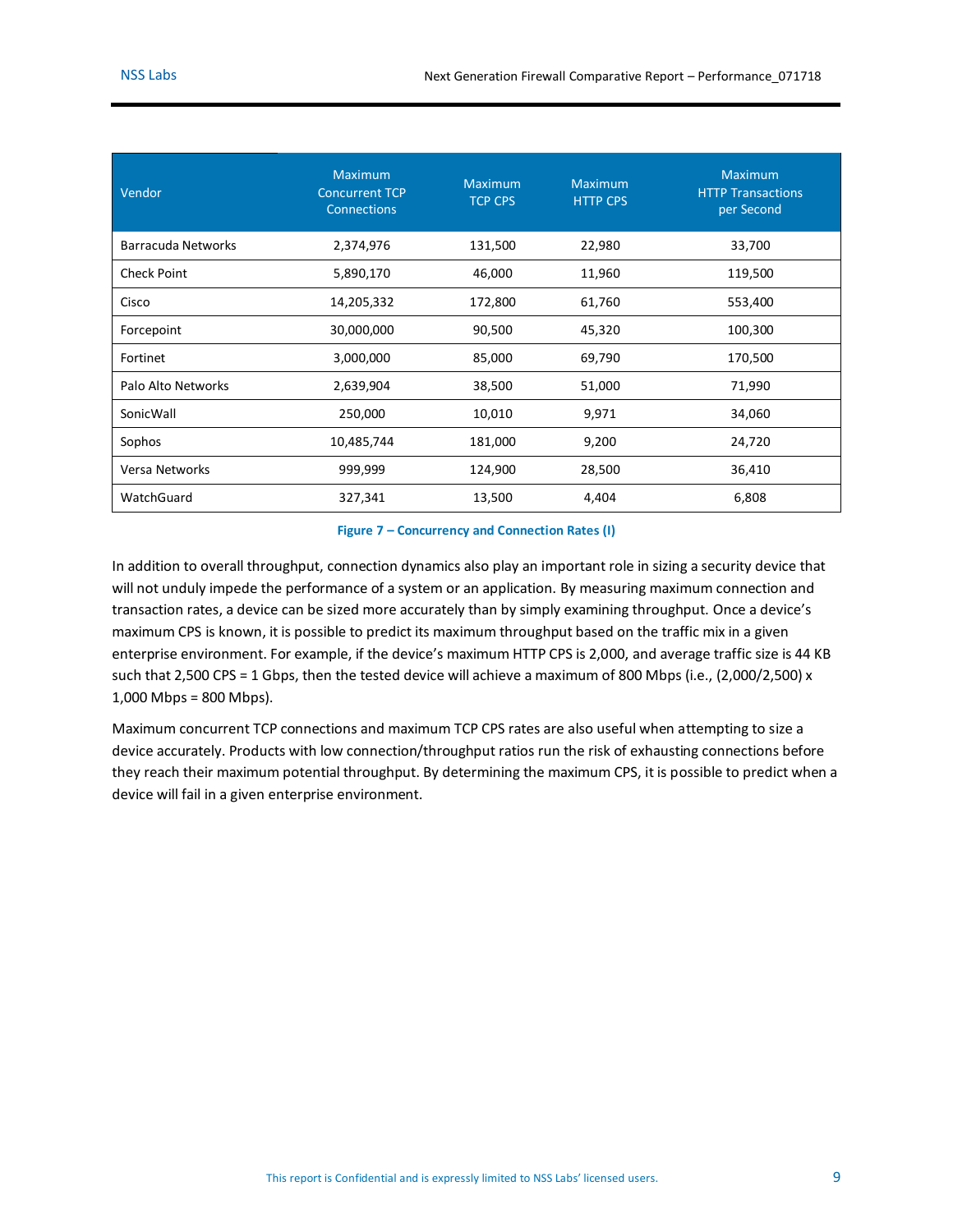| Vendor             | <b>Maximum</b><br><b>Concurrent TCP</b><br><b>Connections</b> | <b>Maximum</b><br><b>TCP CPS</b> | <b>Maximum</b><br><b>HTTP CPS</b> | <b>Maximum</b><br><b>HTTP Transactions</b><br>per Second |
|--------------------|---------------------------------------------------------------|----------------------------------|-----------------------------------|----------------------------------------------------------|
| Barracuda Networks | 2,374,976                                                     | 131,500                          | 22,980                            | 33,700                                                   |
| <b>Check Point</b> | 5,890,170                                                     | 46,000                           | 11,960                            | 119,500                                                  |
| Cisco              | 14,205,332                                                    | 172,800                          | 61,760                            | 553,400                                                  |
| Forcepoint         | 30,000,000                                                    | 90,500                           | 45,320                            | 100,300                                                  |
| Fortinet           | 3,000,000                                                     | 85,000                           | 69,790                            | 170,500                                                  |
| Palo Alto Networks | 2,639,904                                                     | 38,500                           | 51,000                            | 71,990                                                   |
| SonicWall          | 250,000                                                       | 10,010                           | 9,971                             | 34,060                                                   |
| Sophos             | 10,485,744                                                    | 181,000                          | 9,200                             | 24,720                                                   |
| Versa Networks     | 999,999                                                       | 124,900                          | 28,500                            | 36,410                                                   |
| WatchGuard         | 327,341                                                       | 13,500                           | 4,404                             | 6,808                                                    |

#### **Figure 7 – Concurrency and Connection Rates (I)**

<span id="page-8-0"></span>In addition to overall throughput, connection dynamics also play an important role in sizing a security device that will not unduly impede the performance of a system or an application. By measuring maximum connection and transaction rates, a device can be sized more accurately than by simply examining throughput. Once a device's maximum CPS is known, it is possible to predict its maximum throughput based on the traffic mix in a given enterprise environment. For example, if the device's maximum HTTP CPS is 2,000, and average traffic size is 44 KB such that 2,500 CPS = 1 Gbps, then the tested device will achieve a maximum of 800 Mbps (i.e., (2,000/2,500) x 1,000 Mbps = 800 Mbps).

Maximum concurrent TCP connections and maximum TCP CPS rates are also useful when attempting to size a device accurately. Products with low connection/throughput ratios run the risk of exhausting connections before they reach their maximum potential throughput. By determining the maximum CPS, it is possible to predict when a device will fail in a given enterprise environment.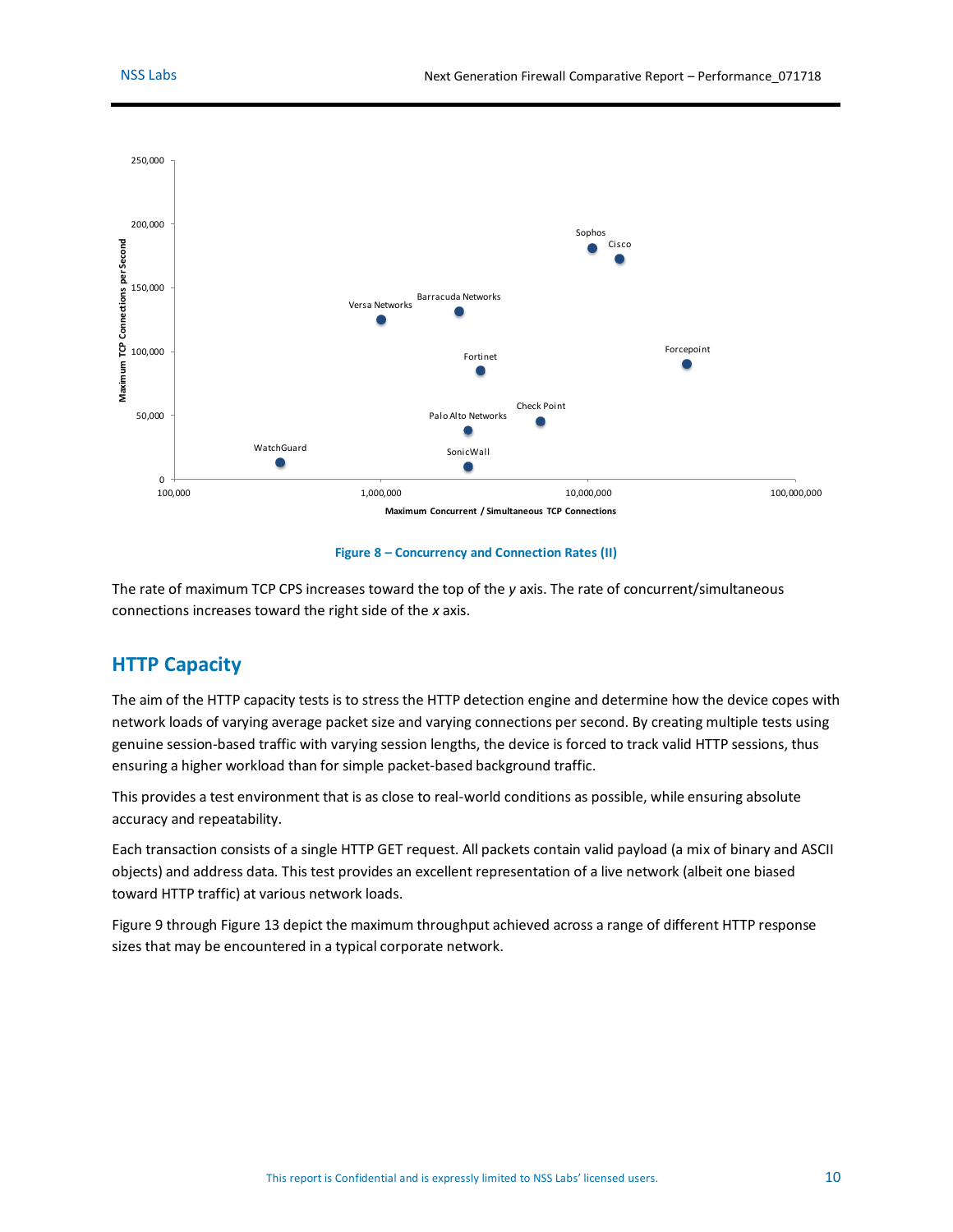

#### **Figure 8 – Concurrency and Connection Rates (II)**

<span id="page-9-1"></span>The rate of maximum TCP CPS increases toward the top of the *y* axis. The rate of concurrent/simultaneous connections increases toward the right side of the *x* axis.

### <span id="page-9-0"></span>**HTTP Capacity**

The aim of the HTTP capacity tests is to stress the HTTP detection engine and determine how the device copes with network loads of varying average packet size and varying connections per second. By creating multiple tests using genuine session-based traffic with varying session lengths, the device is forced to track valid HTTP sessions, thus ensuring a higher workload than for simple packet-based background traffic.

This provides a test environment that is as close to real-world conditions as possible, while ensuring absolute accuracy and repeatability.

Each transaction consists of a single HTTP GET request. All packets contain valid payload (a mix of binary and ASCII objects) and address data. This test provides an excellent representation of a live network (albeit one biased toward HTTP traffic) at various network loads.

[Figure 9](#page-10-0) throug[h Figure 13](#page-11-1) depict the maximum throughput achieved across a range of different HTTP response sizes that may be encountered in a typical corporate network.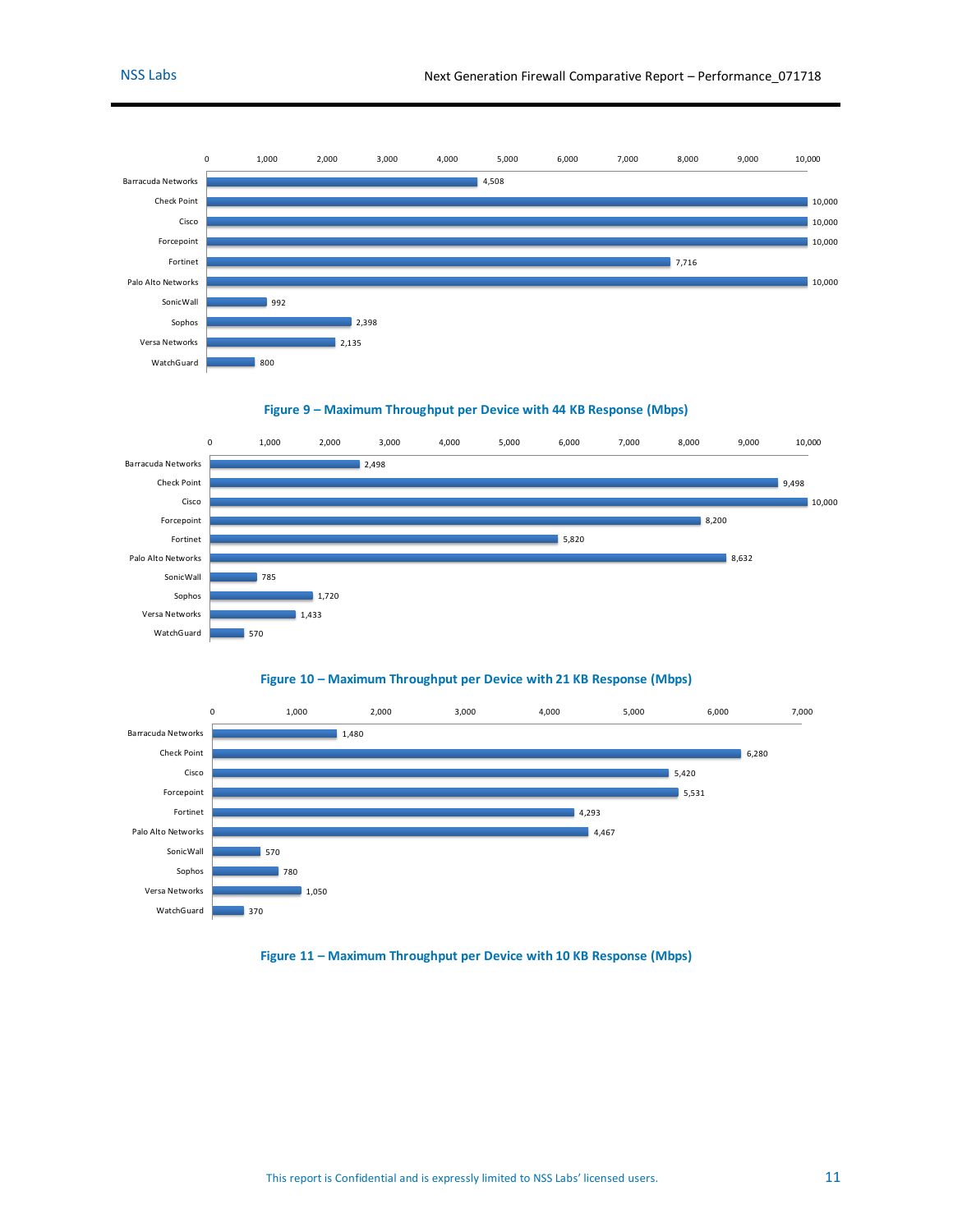

**Figure 9 – Maximum Throughput per Device with 44 KB Response (Mbps)**

<span id="page-10-0"></span>

#### **Figure 10 – Maximum Throughput per Device with 21 KB Response (Mbps)**

<span id="page-10-1"></span>

<span id="page-10-2"></span>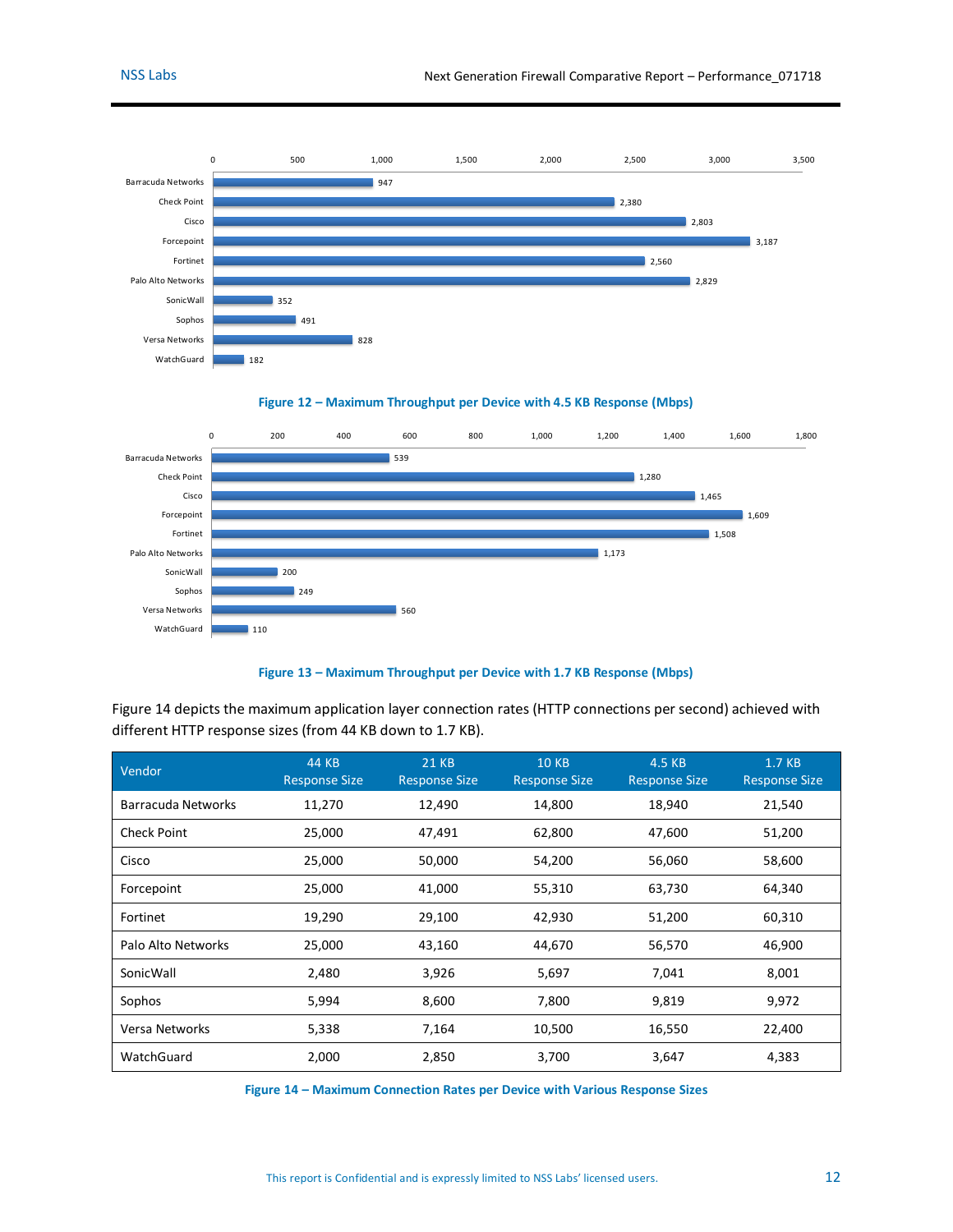



<span id="page-11-0"></span>

#### **Figure 13 – Maximum Throughput per Device with 1.7 KB Response (Mbps)**

<span id="page-11-1"></span>[Figure 14](#page-11-2) depicts the maximum application layer connection rates (HTTP connections per second) achieved with different HTTP response sizes (from 44 KB down to 1.7 KB).

| Vendor                    | 44 KB<br><b>Response Size</b> | <b>21 KB</b><br><b>Response Size</b> | <b>10 KB</b><br><b>Response Size</b> | 4.5 KB<br><b>Response Size</b> | 1.7 KB<br><b>Response Size</b> |
|---------------------------|-------------------------------|--------------------------------------|--------------------------------------|--------------------------------|--------------------------------|
| <b>Barracuda Networks</b> | 11,270                        | 12,490                               | 14,800                               | 18,940                         | 21,540                         |
| <b>Check Point</b>        | 25,000                        | 47,491                               | 62,800                               | 47,600                         | 51,200                         |
| Cisco                     | 25,000                        | 50,000                               | 54,200                               | 56,060                         | 58,600                         |
| Forcepoint                | 25,000                        | 41,000                               | 55,310                               | 63,730                         | 64,340                         |
| Fortinet                  | 19,290                        | 29,100                               | 42,930                               | 51,200                         | 60,310                         |
| Palo Alto Networks        | 25,000                        | 43,160                               | 44,670                               | 56,570                         | 46,900                         |
| SonicWall                 | 2,480                         | 3,926                                | 5,697                                | 7,041                          | 8,001                          |
| Sophos                    | 5,994                         | 8,600                                | 7,800                                | 9,819                          | 9,972                          |
| Versa Networks            | 5,338                         | 7,164                                | 10,500                               | 16,550                         | 22,400                         |
| WatchGuard                | 2,000                         | 2,850                                | 3,700                                | 3,647                          | 4,383                          |

<span id="page-11-2"></span>**Figure 14 – Maximum Connection Rates per Device with Various Response Sizes**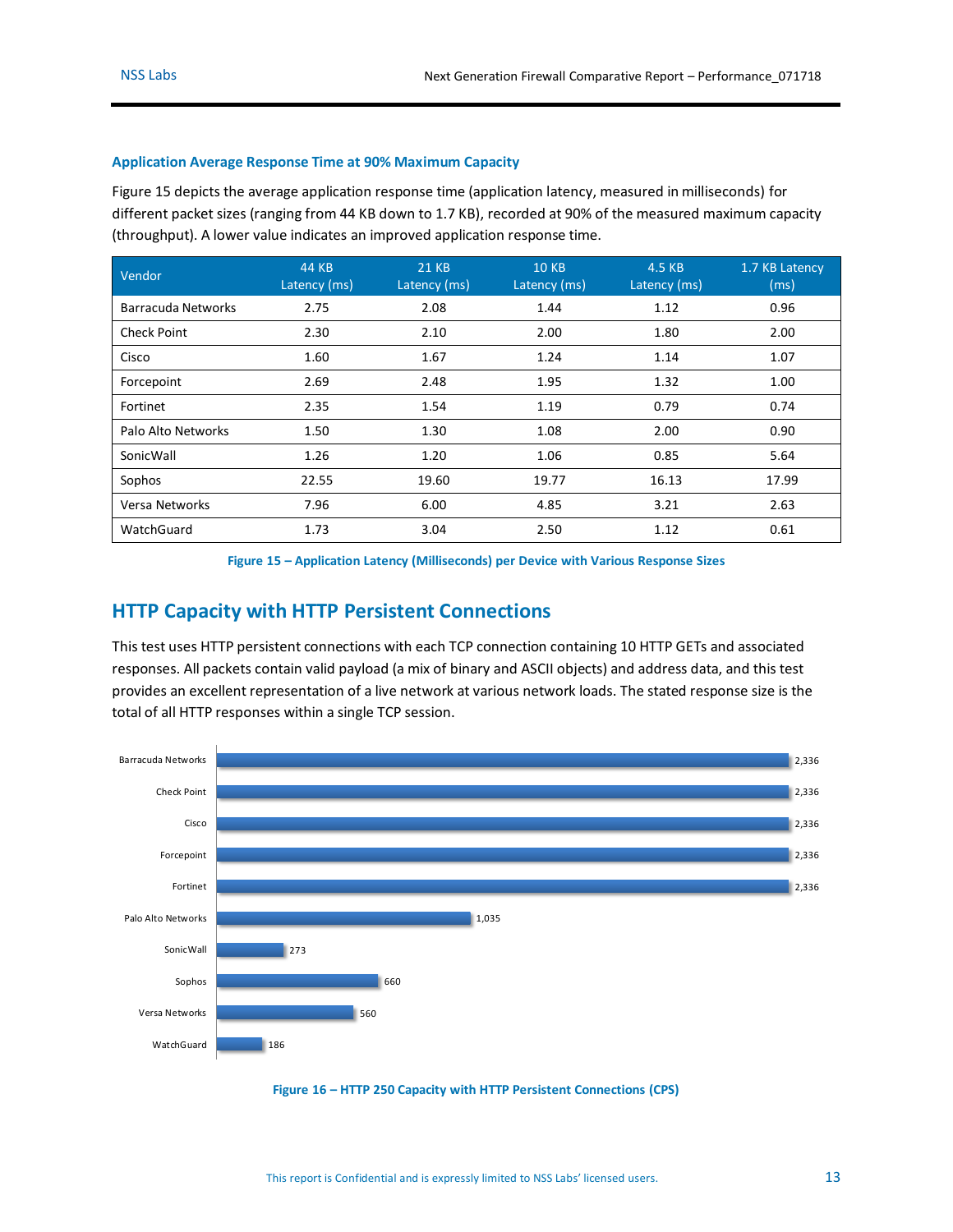#### <span id="page-12-0"></span>**Application Average Response Time at 90% Maximum Capacity**

[Figure 15](#page-12-2) depicts the average application response time (application latency, measured in milliseconds) for different packet sizes (ranging from 44 KB down to 1.7 KB), recorded at 90% of the measured maximum capacity (throughput). A lower value indicates an improved application response time.

| Vendor             | 44 KB<br>Latency (ms) | <b>21 KB</b><br>Latency (ms) | <b>10 KB</b><br>Latency (ms) | 4.5 KB<br>Latency (ms) | 1.7 KB Latency<br>(ms) |
|--------------------|-----------------------|------------------------------|------------------------------|------------------------|------------------------|
| Barracuda Networks | 2.75                  | 2.08                         | 1.44                         | 1.12                   | 0.96                   |
| <b>Check Point</b> | 2.30                  | 2.10                         | 2.00                         | 1.80                   | 2.00                   |
| Cisco              | 1.60                  | 1.67                         | 1.24                         | 1.14                   | 1.07                   |
| Forcepoint         | 2.69                  | 2.48                         | 1.95                         | 1.32                   | 1.00                   |
| Fortinet           | 2.35                  | 1.54                         | 1.19                         | 0.79                   | 0.74                   |
| Palo Alto Networks | 1.50                  | 1.30                         | 1.08                         | 2.00                   | 0.90                   |
| SonicWall          | 1.26                  | 1.20                         | 1.06                         | 0.85                   | 5.64                   |
| Sophos             | 22.55                 | 19.60                        | 19.77                        | 16.13                  | 17.99                  |
| Versa Networks     | 7.96                  | 6.00                         | 4.85                         | 3.21                   | 2.63                   |
| WatchGuard         | 1.73                  | 3.04                         | 2.50                         | 1.12                   | 0.61                   |

**Figure 15 – Application Latency (Milliseconds) per Device with Various Response Sizes**

### <span id="page-12-2"></span><span id="page-12-1"></span>**HTTP Capacity with HTTP Persistent Connections**

This test uses HTTP persistent connections with each TCP connection containing 10 HTTP GETs and associated responses. All packets contain valid payload (a mix of binary and ASCII objects) and address data, and this test provides an excellent representation of a live network at various network loads. The stated response size is the total of all HTTP responses within a single TCP session.



<span id="page-12-3"></span>**Figure 16 – HTTP 250 Capacity with HTTP Persistent Connections (CPS)**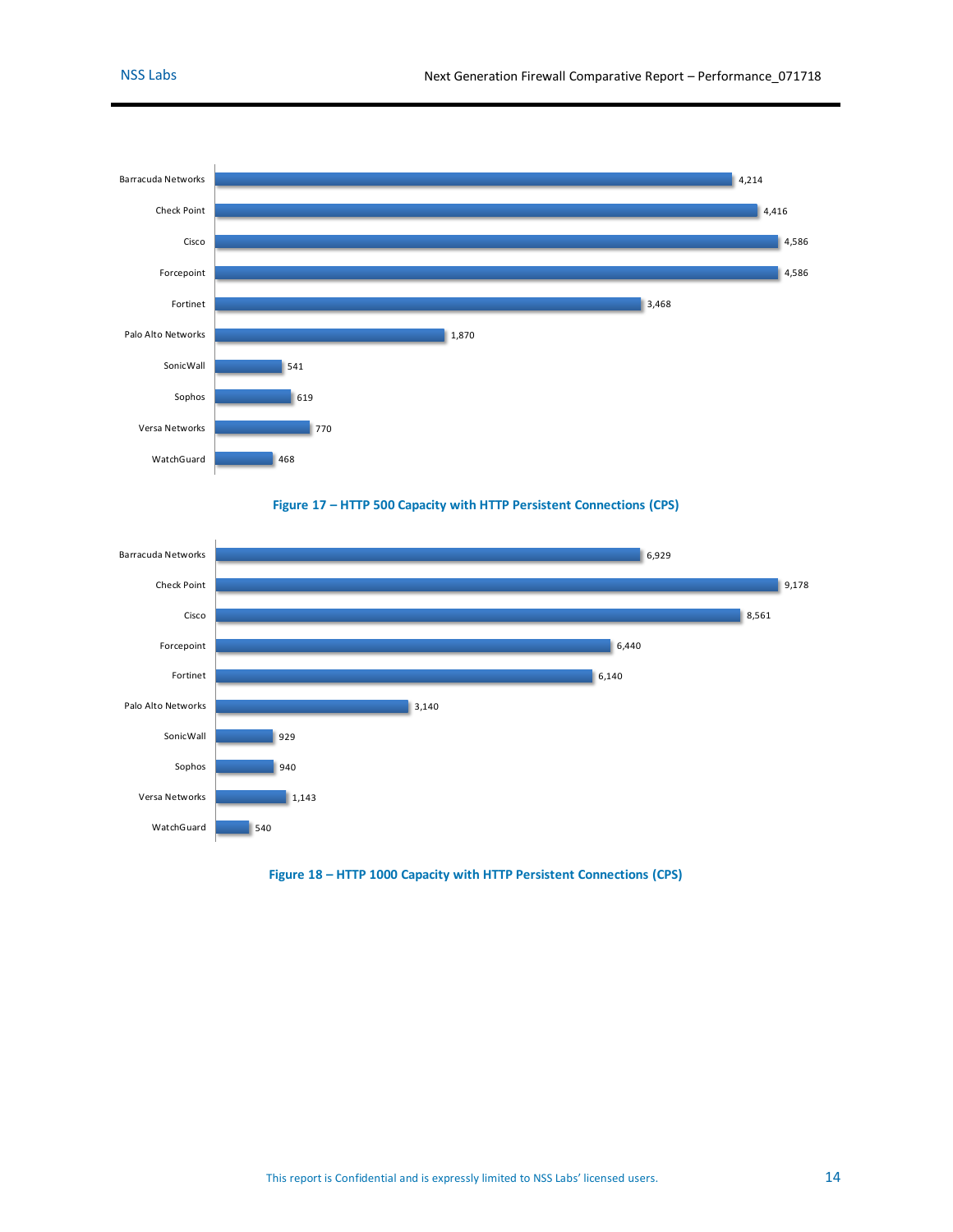



<span id="page-13-0"></span>

<span id="page-13-1"></span>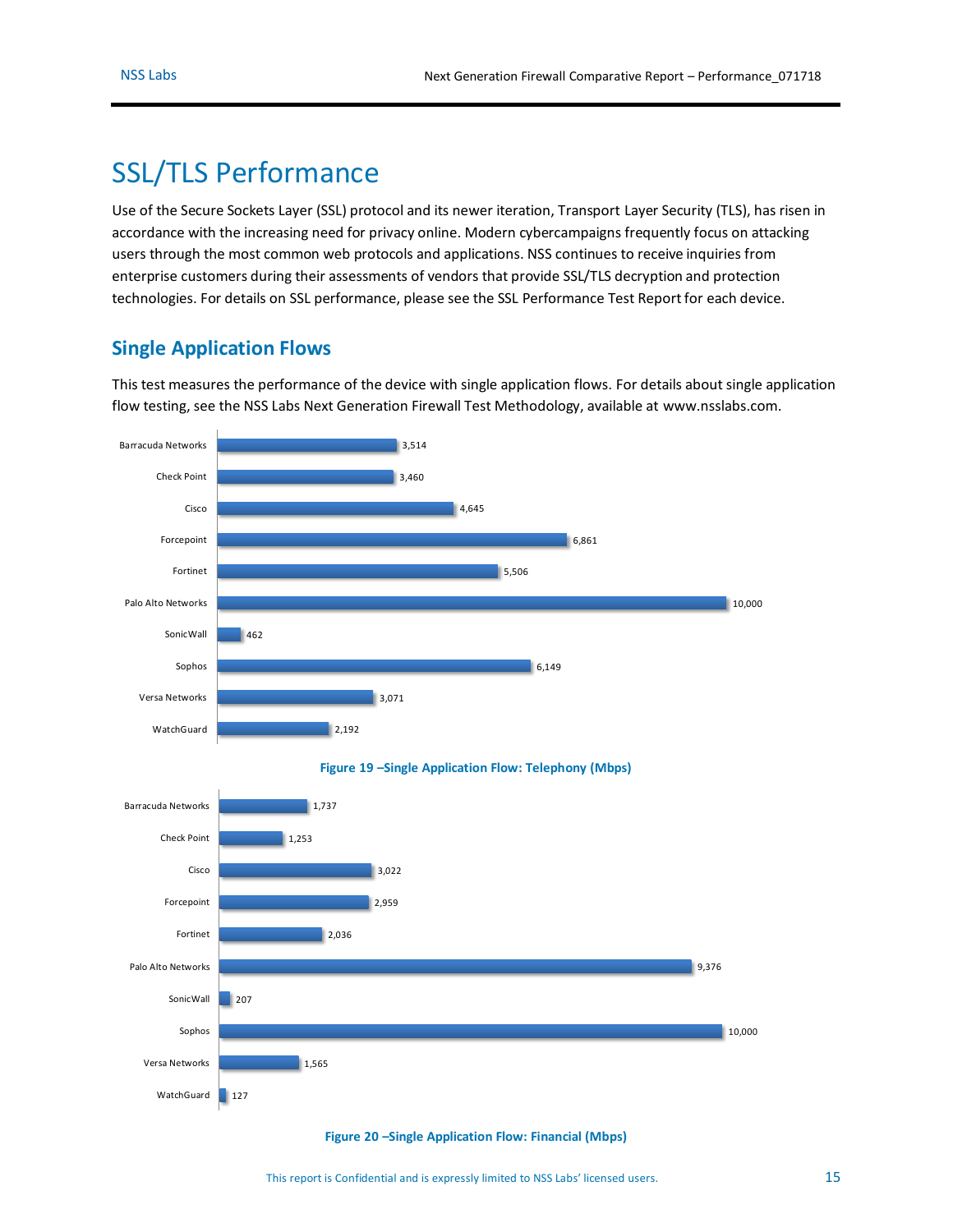# <span id="page-14-0"></span>SSL/TLS Performance

Use of the Secure Sockets Layer (SSL) protocol and its newer iteration, Transport Layer Security (TLS), has risen in accordance with the increasing need for privacy online. Modern cybercampaigns frequently focus on attacking users through the most common web protocols and applications. NSS continues to receive inquiries from enterprise customers during their assessments of vendors that provide SSL/TLS decryption and protection technologies. For details on SSL performance, please see the SSL Performance Test Report for each device.

### <span id="page-14-1"></span>**Single Application Flows**

This test measures the performance of the device with single application flows. For details about single application flow testing, see the NSS Labs Next Generation Firewall Test Methodology, available at [www.nsslabs.com.](http://www.nsslabs.com/)

<span id="page-14-2"></span>

<span id="page-14-3"></span>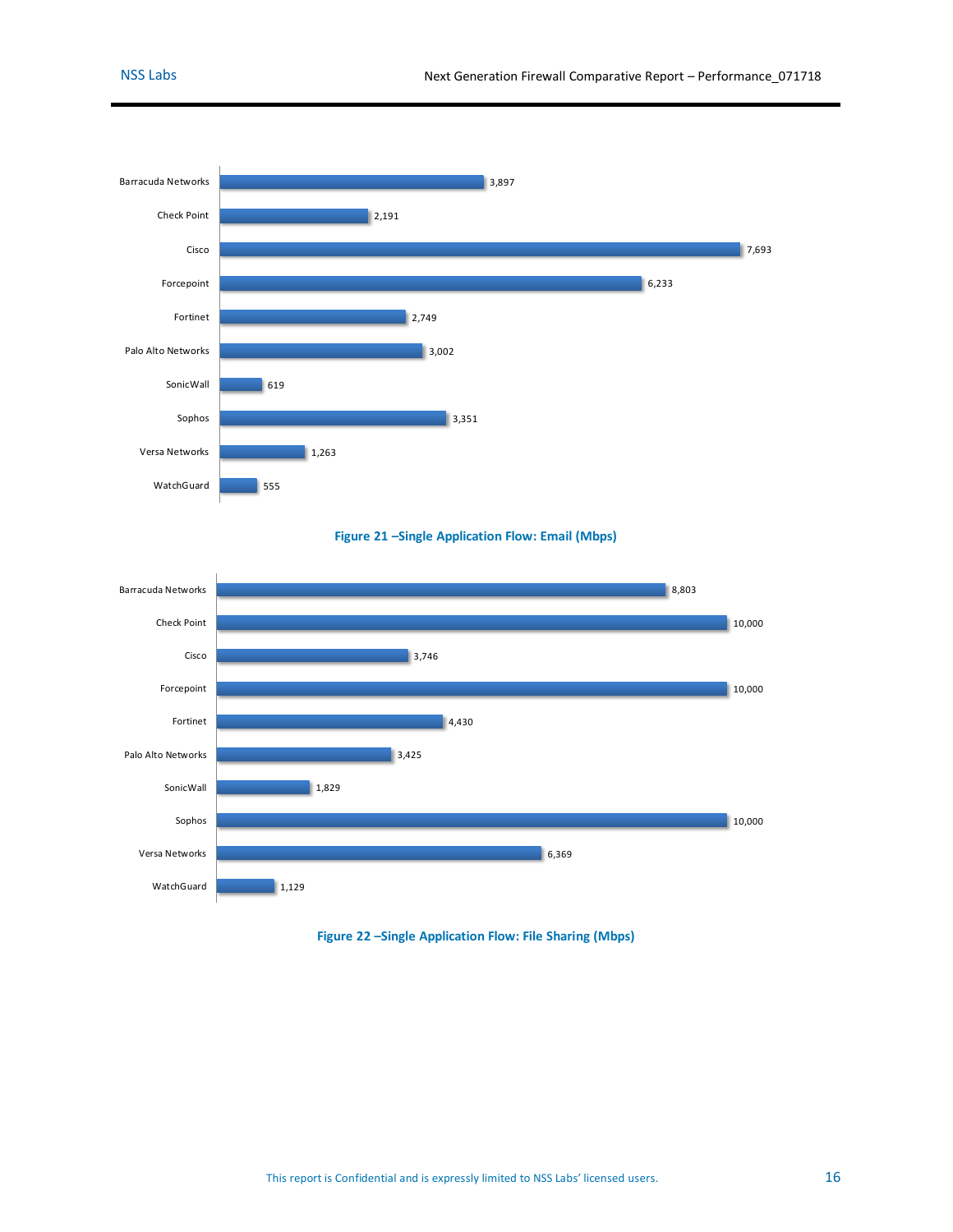



<span id="page-15-0"></span>

<span id="page-15-1"></span>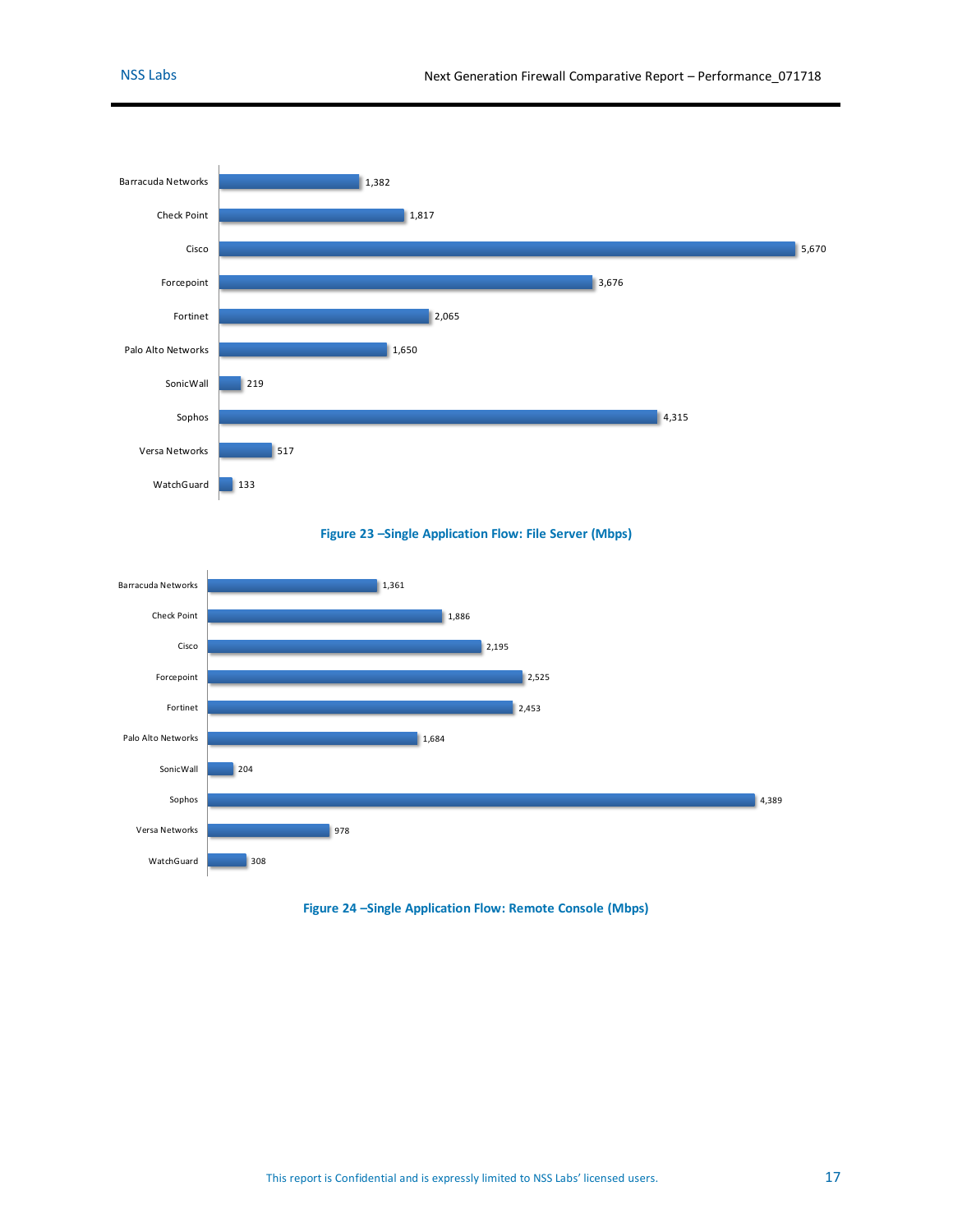

**Figure 23 –Single Application Flow: File Server (Mbps)**

<span id="page-16-0"></span>

<span id="page-16-1"></span>**Figure 24 –Single Application Flow: Remote Console (Mbps)**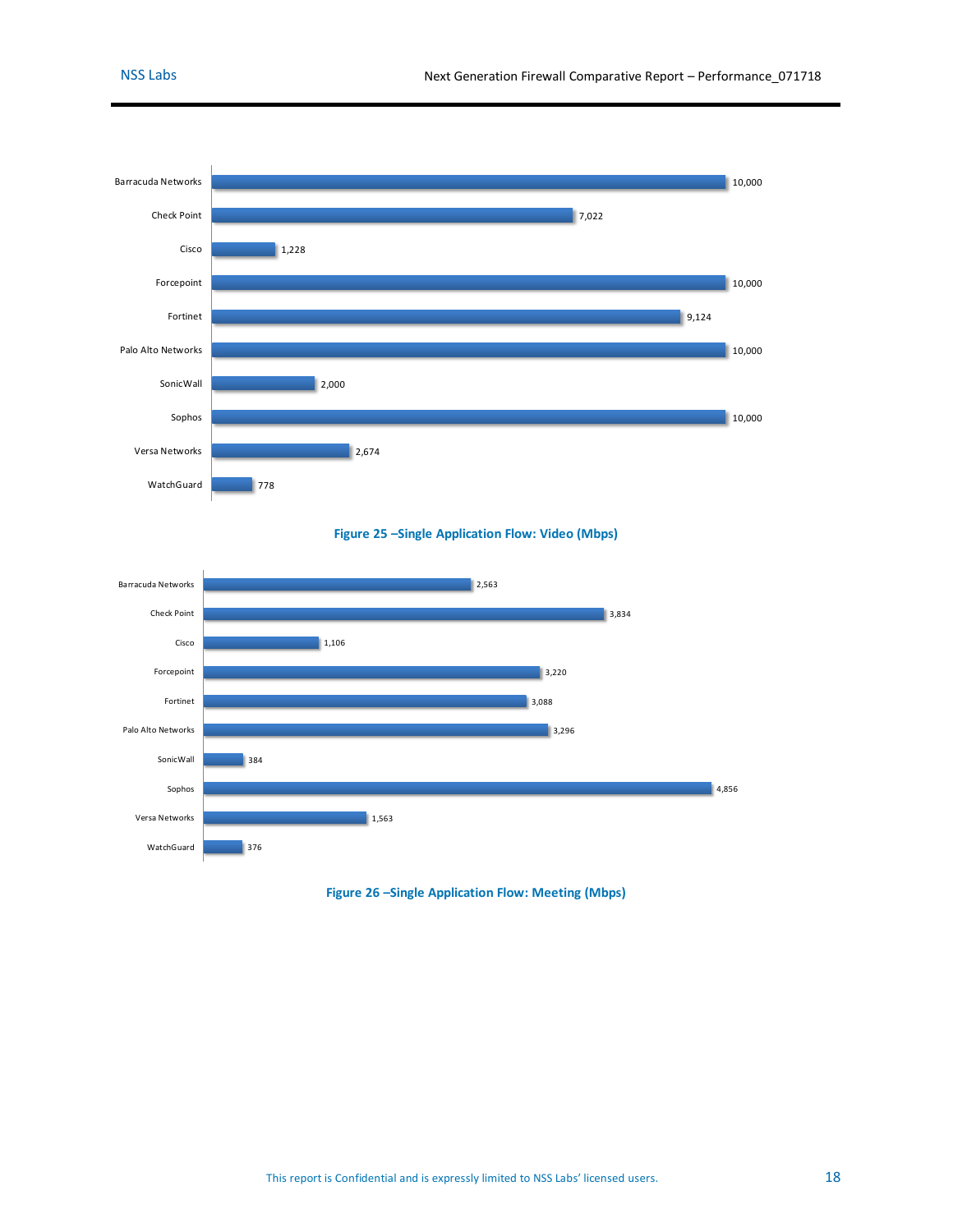

**Figure 25 –Single Application Flow: Video (Mbps)**

<span id="page-17-0"></span>

<span id="page-17-1"></span>**Figure 26 –Single Application Flow: Meeting (Mbps)**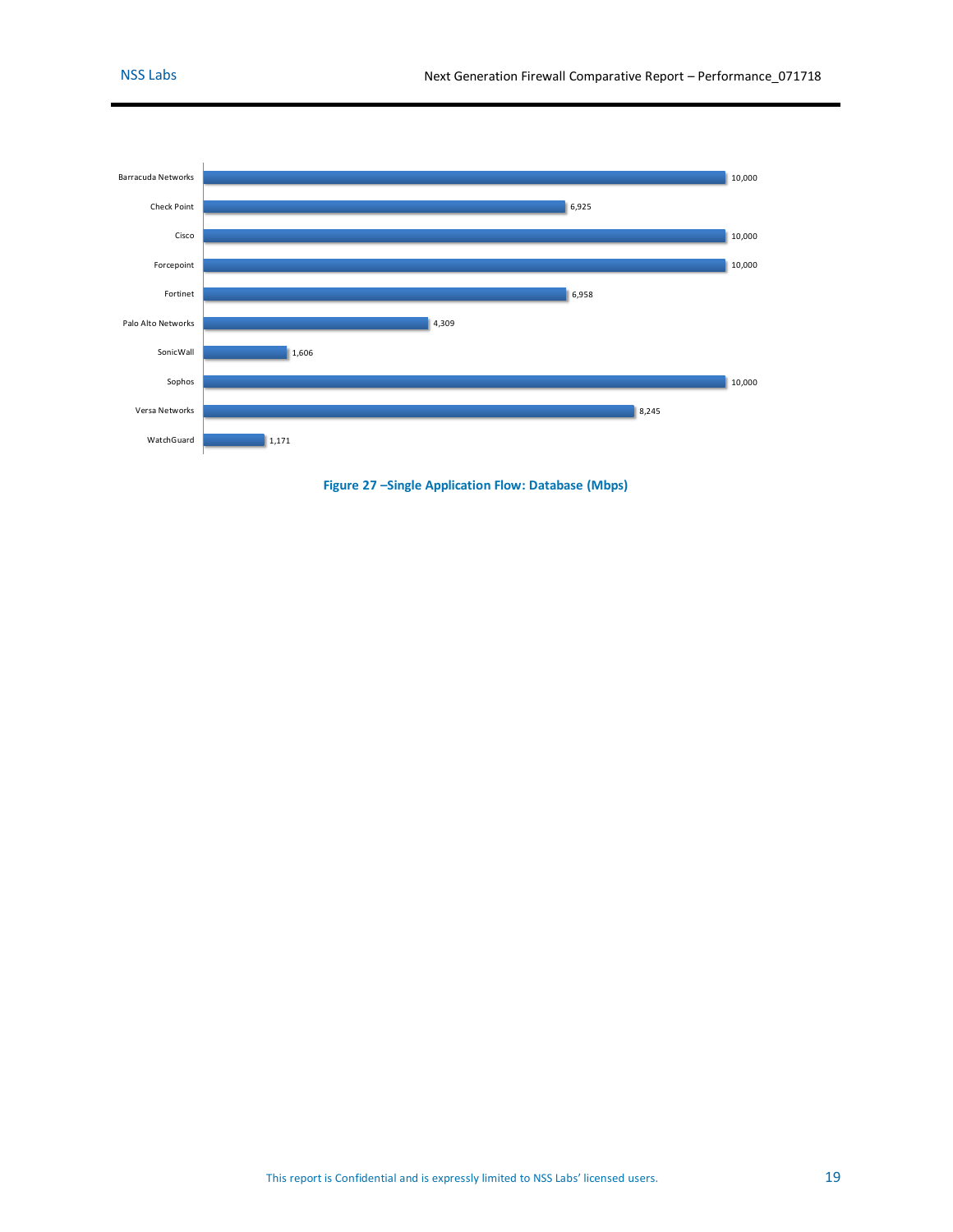

<span id="page-18-0"></span>**Figure 27 –Single Application Flow: Database (Mbps)**